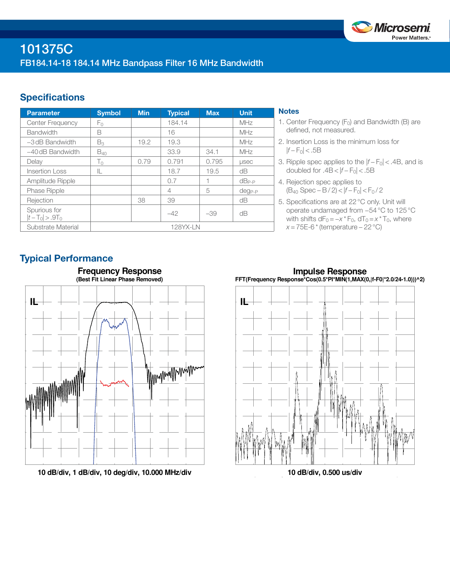

## **Specifications**

| <b>Parameter</b>                  | <b>Symbol</b> | <b>Min</b> | <b>Typical</b> | <b>Max</b> | Unit.        |
|-----------------------------------|---------------|------------|----------------|------------|--------------|
| <b>Center Frequency</b>           | Fο            |            | 184.14         |            | MHz          |
| <b>Bandwidth</b>                  | B             |            | 16             |            | MHz          |
| $-3$ dB Bandwidth                 | $B_3$         | 19.2       | 19.3           |            | MHz          |
| $-40$ dB Bandwidth                | $B_{40}$      |            | 33.9           | 34.1       | MHz          |
| Delay                             | $T_{0}$       | 0.79       | 0.791          | 0.795      | <b>LISEC</b> |
| <b>Insertion Loss</b>             | IL            |            | 18.7           | 19.5       | dΒ           |
| Amplitude Ripple                  |               |            | 0.7            |            | $dB_{P-P}$   |
| <b>Phase Ripple</b>               |               |            | 4              | 5          | $deg_{P-P}$  |
| Rejection                         |               | 38         | 39             |            | dB           |
| Spurious for<br>$ t-T_0  > .9T_0$ |               |            | $-42$          | $-39$      | dB           |
| Substrate Material                | 128YX-LN      |            |                |            |              |

## **Notes**

- 1. Center Frequency  $(F_0)$  and Bandwidth (B) are defined, not measured.
- 2. Insertion Loss is the minimum loss for  $|f - F_0|$  < .5B
- 3. Ripple spec applies to the  $|f F_0|$  < .4B, and is doubled for  $.4B < |f - F_0| < .5B$
- 4. Rejection spec applies to (B40 Spec − B / 2) < |*f* − F0| < F0 / 2
- 5. Specifications are at 22°C only. Unit will operate undamaged from −54°C to 125°C with shifts  $dF_0 = -x * F_0$ ,  $dT_0 = x * T_0$ , where *x* = 75E-6 \* (temperature – 22 °C)

## Typical Performance



**10 dB/div, 1 dB/div, 10 deg/div, 10.000 MHz/div**

**Impulse Response FFT(Frequency Response\*Cos(0.5\*PI\*MIN(1,MAX(0,|f-F0|\*2.0/24-1.0)))^2)**



**10 dB/div, 0.500 us/div**